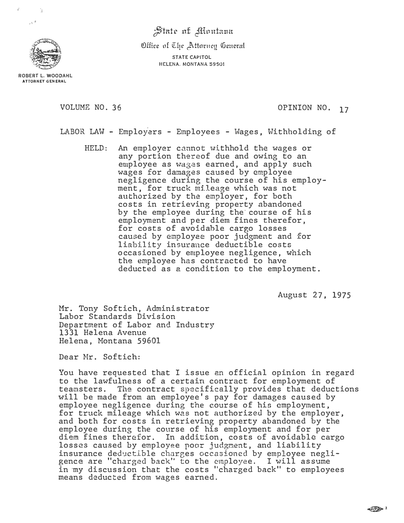*finte* at *Montana* 

Office of The Attorney General STATE CAPITOL HELENA. MONTANA 59501



**( �I** 

,\.

ROBERT L. WOODAHL **ATTORNEY GENERAL** 

VOLUME NO. 36  $OPINION NO. 17$ 

LABOR LAW - Employers - Employees - Wages, Withholding of

HELD: An employer cannot withhold the wages or any portion thereof due and owing to an employee as wages earned, and apply such wages for damages caused by employee negligence during the course of his employment, for truck mi.leage which was not authorized by the employer, for both costs in retrieving property abandoned by the employee during the course of his employment and per diem fines therefor, for costs of avoidable cargo losses caused by employee poor judgment and for liability insurance deductible costs occasioned by employee negligence, which the employee has contracted to have deducted as a condition to the employment.

August 27, 1975

Mr. Tony Softich, Administrator Labor Standards Division Department of Labor and Industry 1331 Helena Avenue Helena, Montana 59601

Dear Mr. Softich:

You have requested that I issue an official opinion in regard to the lawfulness of a certain contract for employment of teamsters. The contract specifically provides that deductions will be made from an employee's pay for damages caused by employee negligence during the course of his employment, for truck mileage which was not authorized by the employer, and both for costs in retrieving property abandoned by the employee during the course of his employment and for per diem fines therefor. In addition, costs of avoidable cargo losses caused by employee poor judgment, and liability insurance deductible charges occasioned by employee negligence are "charged back'' to the employee. I will assume in my discussion that the costs "charged back" to employees means deducted from wages earned.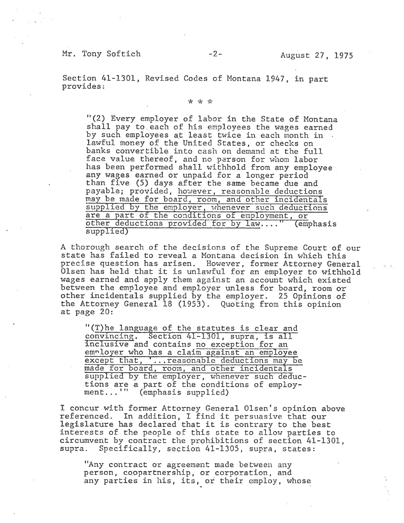## Mr. Tony Softich -2- August 27, 1975

Section 41-1301, Revised Codes of Montana 1947, in par<sup>t</sup> provides:

## \* \* \*

"(2) Every employer of labor in the State of Montana shall pay to each of his employees the wages earned by such employees at least twice in each month in lawful money of the United States, or checks on banks convertible into cash on demand at the full face value thereof, and no person for whom labor has been performed shall withhold from any employee any wages earned or unpaid for <sup>a</sup> longer period than five (5) days after the same became due and payable; provided, however, reasonable deductions may be made for board, room, and other incidentals supplied by the employer, whenever such deductions are <sup>a</sup> par<sup>t</sup> of the conditions of employment, or other deductions provided for by law...." (emphasis supplied)

<sup>A</sup> thorough search of the decisions of the Supreme Court of our state has failed to reveal <sup>a</sup> Montana decision in which this precise question has arisen. However, former Attorney General Olsen has held that it is unlawful for an employer to withhold wages earned and apply them against an account which existed between the employee and employer unless for board, room or other incidentals supplied by the employer. 25 Opinions of the Attorney General <sup>18</sup> (1953). Quoting from this opinion at page 20:

"(T)he language of the statutes is clear and convincing. Section 41-13G1, supra, is all inclusive and contains no exception for an employer who has a claim against an employee excep<sup>t</sup> that, '...reasonabie deductions may be made for board, room, and other incidentals supplied by the employer, whenever such deductions are <sup>a</sup> par<sup>t</sup> of the conditions of employ ment...'" (emphasis supplied)

<sup>I</sup> concur with former Attorney General Olsen's opinion above referenced. In addition, I find it persuasive that our legislature has declared that it is contrary to the best interests of the people of this state to allow parties to circumvent by contract the prohibitions of section 41-1301, supra. Specifically, section 41-1305, supra, states:

"Any contract or agreemen<sup>t</sup> made between any person, coopartnership, or corporation, and any parties in his, its, or their employ, whose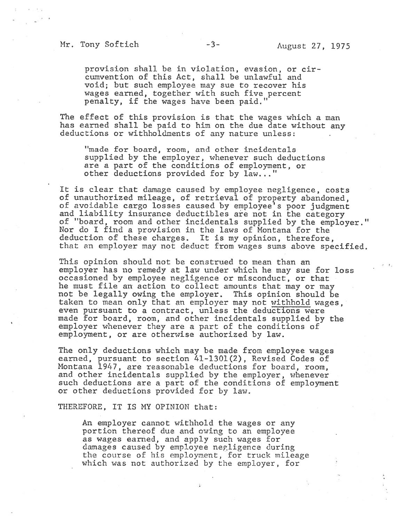## Mr. Tony Softich -3- August 27, 1975

provision shall be in violation, evasion, or cir cumvention of this Act, shall be unlawful and void; but such employee may sue to recover his wages earned, together with such five percen<sup>t</sup> penalty, if the wages have been paid."

The effect of this provision is that the wages which <sup>a</sup> man has earned shall be paid to him on the due date without any deductions or withholdments of any nature unless:

"made for board, room, and other incidentals supplied by the employer, whenever such deductions are <sup>a</sup> par<sup>t</sup> of the conditions of employment, or other deductions provided for by law. .."

It is clear that damage caused by employee negligence, costs of unauthorized mileage, of retrieval of property abandoned, of avoidable cargo losses caused by employee's poor judgment and liability insurance deductibles are not in the category of "board, room and other incidentals supplied by the employer." Nor do I find <sup>a</sup> provision in the laws of Montana for the deduction of these charges. It is my opinion, therefore, that an employer may not deduct from wages sums above specified.

This opinion should not be construed to mean than an employer has no remedy at law under which he may sue for loss occasioned by employee negligence or misconduct, or that he must file an action to collect amounts that may or may not be legally owing the employer. This opinion should be taken to mean only that an employer may not withhold wages, even pursuan<sup>t</sup> to <sup>a</sup> contract, unless the deductions were made for board, room, and other incidentals supplied by the employer whenever they are <sup>a</sup> par<sup>t</sup> of the conditions of employment, or are otherwise authorized by law.

The only deductions which may be made from employee wages earned, pursuan<sup>t</sup> to section 41-1301(2), Revised Codes of Montana 1947, are reasonable deductions for board, room, and other incidentals supplied by the employer, whenever such deductions are <sup>a</sup> par<sup>t</sup> of the conditions of employment or other deductions provided for by law.

THEREFORE, IT IS MY OPINION that:

An employer cannot withhold the wages or any portion thereof due and owing to an employee as wages earned, and apply such wages for damages caused by employee negligence during the course of his employment, for truck mileage which was not authorized by the employer, for